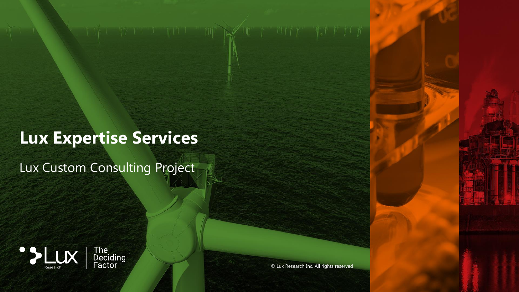# **Lux Expertise Services**

 $\mathbb{H}$   $\mathbb{R}$ 

Lux Custom Consulting Project





© Lux Research Inc. All rights reserved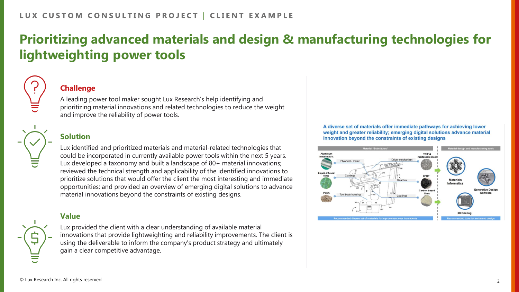## **Prioritizing advanced materials and design & manufacturing technologies for lightweighting power tools**



### **Challenge**

A leading power tool maker sought Lux Research's help identifying and prioritizing material innovations and related technologies to reduce the weight and improve the reliability of power tools.



### **Solution**

Lux identified and prioritized materials and material-related technologies that could be incorporated in currently available power tools within the next 5 years. Lux developed a taxonomy and built a landscape of 80+ material innovations; reviewed the technical strength and applicability of the identified innovations to prioritize solutions that would offer the client the most interesting and immediate opportunities; and provided an overview of emerging digital solutions to advance material innovations beyond the constraints of existing designs.

### **Value**



Lux provided the client with a clear understanding of available material innovations that provide lightweighting and reliability improvements. The client is using the deliverable to inform the company's product strategy and ultimately gain a clear competitive advantage.

A diverse set of materials offer immediate pathways for achieving lower weight and greater reliability; emerging digital solutions advance material innovation beyond the constraints of existing designs